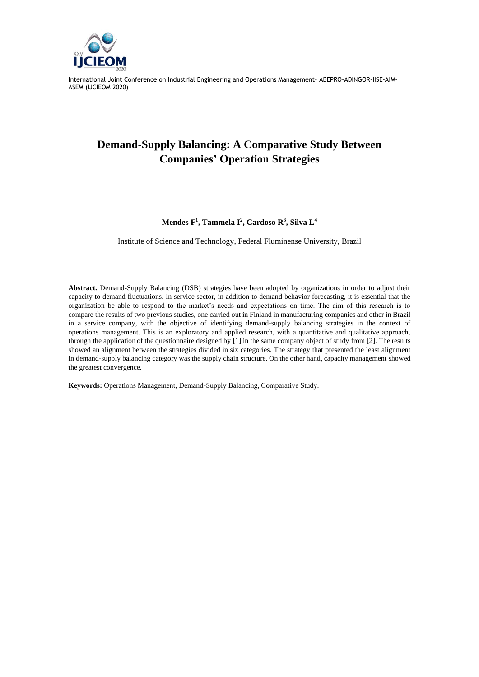

# **Demand-Supply Balancing: A Comparative Study Between Companies' Operation Strategies**

#### **Mendes F<sup>1</sup> , Tammela I<sup>2</sup> , Cardoso R<sup>3</sup> , Silva L<sup>4</sup>**

Institute of Science and Technology, Federal Fluminense University, Brazil

**Abstract.** Demand-Supply Balancing (DSB) strategies have been adopted by organizations in order to adjust their capacity to demand fluctuations. In service sector, in addition to demand behavior forecasting, it is essential that the organization be able to respond to the market's needs and expectations on time. The aim of this research is to compare the results of two previous studies, one carried out in Finland in manufacturing companies and other in Brazil in a service company, with the objective of identifying demand-supply balancing strategies in the context of operations management. This is an exploratory and applied research, with a quantitative and qualitative approach, through the application of the questionnaire designed by [1] in the same company object of study from [2]. The results showed an alignment between the strategies divided in six categories. The strategy that presented the least alignment in demand-supply balancing category was the supply chain structure. On the other hand, capacity management showed the greatest convergence.

**Keywords:** Operations Management, Demand-Supply Balancing, Comparative Study.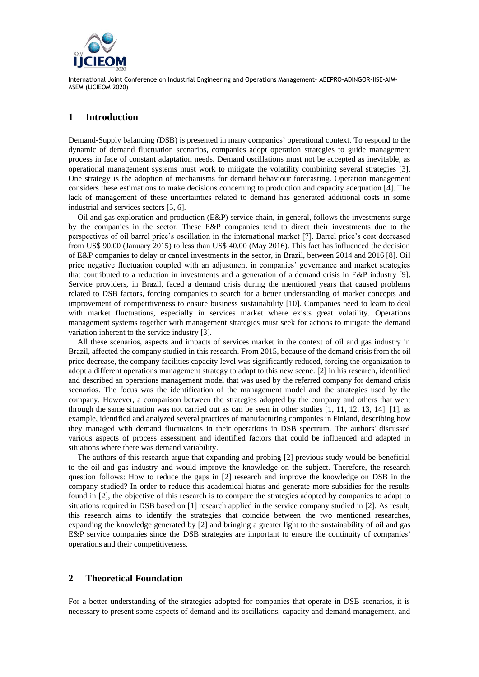

#### **1 Introduction**

Demand-Supply balancing (DSB) is presented in many companies' operational context. To respond to the dynamic of demand fluctuation scenarios, companies adopt operation strategies to guide management process in face of constant adaptation needs. Demand oscillations must not be accepted as inevitable, as operational management systems must work to mitigate the volatility combining several strategies [3]. One strategy is the adoption of mechanisms for demand behaviour forecasting. Operation management considers these estimations to make decisions concerning to production and capacity adequation [4]. The lack of management of these uncertainties related to demand has generated additional costs in some industrial and services sectors [5, 6].

Oil and gas exploration and production (E&P) service chain, in general, follows the investments surge by the companies in the sector. These E&P companies tend to direct their investments due to the perspectives of oil barrel price's oscillation in the international market [7]. Barrel price's cost decreased from US\$ 90.00 (January 2015) to less than US\$ 40.00 (May 2016). This fact has influenced the decision of E&P companies to delay or cancel investments in the sector, in Brazil, between 2014 and 2016 [8]. Oil price negative fluctuation coupled with an adjustment in companies' governance and market strategies that contributed to a reduction in investments and a generation of a demand crisis in E&P industry [9]. Service providers, in Brazil, faced a demand crisis during the mentioned years that caused problems related to DSB factors, forcing companies to search for a better understanding of market concepts and improvement of competitiveness to ensure business sustainability [10]. Companies need to learn to deal with market fluctuations, especially in services market where exists great volatility. Operations management systems together with management strategies must seek for actions to mitigate the demand variation inherent to the service industry [3].

All these scenarios, aspects and impacts of services market in the context of oil and gas industry in Brazil, affected the company studied in this research. From 2015, because of the demand crisis from the oil price decrease, the company facilities capacity level was significantly reduced, forcing the organization to adopt a different operations management strategy to adapt to this new scene. [2] in his research, identified and described an operations management model that was used by the referred company for demand crisis scenarios. The focus was the identification of the management model and the strategies used by the company. However, a comparison between the strategies adopted by the company and others that went through the same situation was not carried out as can be seen in other studies [1, 11, 12, 13, 14]. [1], as example, identified and analyzed several practices of manufacturing companies in Finland, describing how they managed with demand fluctuations in their operations in DSB spectrum. The authors' discussed various aspects of process assessment and identified factors that could be influenced and adapted in situations where there was demand variability.

The authors of this research argue that expanding and probing [2] previous study would be beneficial to the oil and gas industry and would improve the knowledge on the subject. Therefore, the research question follows: How to reduce the gaps in [2] research and improve the knowledge on DSB in the company studied? In order to reduce this academical hiatus and generate more subsidies for the results found in [2], the objective of this research is to compare the strategies adopted by companies to adapt to situations required in DSB based on [1] research applied in the service company studied in [2]. As result, this research aims to identify the strategies that coincide between the two mentioned researches, expanding the knowledge generated by [2] and bringing a greater light to the sustainability of oil and gas E&P service companies since the DSB strategies are important to ensure the continuity of companies' operations and their competitiveness.

### **2 Theoretical Foundation**

For a better understanding of the strategies adopted for companies that operate in DSB scenarios, it is necessary to present some aspects of demand and its oscillations, capacity and demand management, and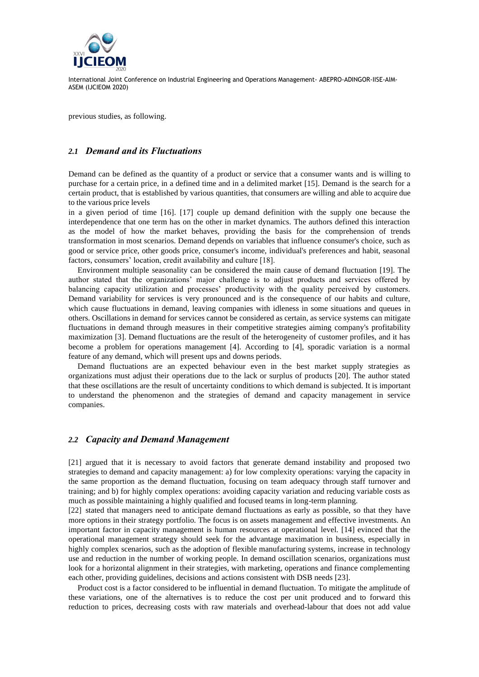

previous studies, as following.

#### *2.1 Demand and its Fluctuations*

Demand can be defined as the quantity of a product or service that a consumer wants and is willing to purchase for a certain price, in a defined time and in a delimited market [15]. Demand is the search for a certain product, that is established by various quantities, that consumers are willing and able to acquire due to the various price levels

in a given period of time [16]. [17] couple up demand definition with the supply one because the interdependence that one term has on the other in market dynamics. The authors defined this interaction as the model of how the market behaves, providing the basis for the comprehension of trends transformation in most scenarios. Demand depends on variables that influence consumer's choice, such as good or service price, other goods price, consumer's income, individual's preferences and habit, seasonal factors, consumers' location, credit availability and culture [18].

Environment multiple seasonality can be considered the main cause of demand fluctuation [19]. The author stated that the organizations' major challenge is to adjust products and services offered by balancing capacity utilization and processes' productivity with the quality perceived by customers. Demand variability for services is very pronounced and is the consequence of our habits and culture, which cause fluctuations in demand, leaving companies with idleness in some situations and queues in others. Oscillations in demand for services cannot be considered as certain, as service systems can mitigate fluctuations in demand through measures in their competitive strategies aiming company's profitability maximization [3]. Demand fluctuations are the result of the heterogeneity of customer profiles, and it has become a problem for operations management [4]. According to [4], sporadic variation is a normal feature of any demand, which will present ups and downs periods.

Demand fluctuations are an expected behaviour even in the best market supply strategies as organizations must adjust their operations due to the lack or surplus of products [20]. The author stated that these oscillations are the result of uncertainty conditions to which demand is subjected. It is important to understand the phenomenon and the strategies of demand and capacity management in service companies.

#### *2.2 Capacity and Demand Management*

[21] argued that it is necessary to avoid factors that generate demand instability and proposed two strategies to demand and capacity management: a) for low complexity operations: varying the capacity in the same proportion as the demand fluctuation, focusing on team adequacy through staff turnover and training; and b) for highly complex operations: avoiding capacity variation and reducing variable costs as much as possible maintaining a highly qualified and focused teams in long-term planning.

[22] stated that managers need to anticipate demand fluctuations as early as possible, so that they have more options in their strategy portfolio. The focus is on assets management and effective investments. An important factor in capacity management is human resources at operational level. [14] evinced that the operational management strategy should seek for the advantage maximation in business, especially in highly complex scenarios, such as the adoption of flexible manufacturing systems, increase in technology use and reduction in the number of working people. In demand oscillation scenarios, organizations must look for a horizontal alignment in their strategies, with marketing, operations and finance complementing each other, providing guidelines, decisions and actions consistent with DSB needs [23].

Product cost is a factor considered to be influential in demand fluctuation. To mitigate the amplitude of these variations, one of the alternatives is to reduce the cost per unit produced and to forward this reduction to prices, decreasing costs with raw materials and overhead-labour that does not add value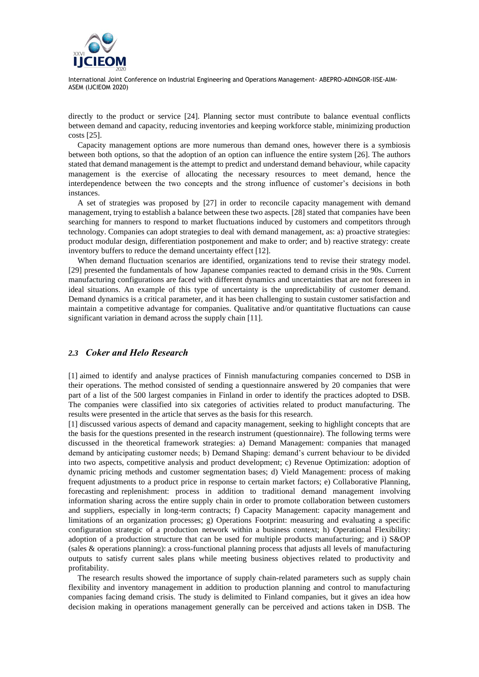

directly to the product or service [24]. Planning sector must contribute to balance eventual conflicts between demand and capacity, reducing inventories and keeping workforce stable, minimizing production costs [25].

Capacity management options are more numerous than demand ones, however there is a symbiosis between both options, so that the adoption of an option can influence the entire system [26]. The authors stated that demand management is the attempt to predict and understand demand behaviour, while capacity management is the exercise of allocating the necessary resources to meet demand, hence the interdependence between the two concepts and the strong influence of customer's decisions in both instances.

A set of strategies was proposed by [27] in order to reconcile capacity management with demand management, trying to establish a balance between these two aspects. [28] stated that companies have been searching for manners to respond to market fluctuations induced by customers and competitors through technology. Companies can adopt strategies to deal with demand management, as: a) proactive strategies: product modular design, differentiation postponement and make to order; and b) reactive strategy: create inventory buffers to reduce the demand uncertainty effect [12].

When demand fluctuation scenarios are identified, organizations tend to revise their strategy model. [29] presented the fundamentals of how Japanese companies reacted to demand crisis in the 90s. Current manufacturing configurations are faced with different dynamics and uncertainties that are not foreseen in ideal situations. An example of this type of uncertainty is the unpredictability of customer demand. Demand dynamics is a critical parameter, and it has been challenging to sustain customer satisfaction and maintain a competitive advantage for companies. Qualitative and/or quantitative fluctuations can cause significant variation in demand across the supply chain [11].

### *2.3 Coker and Helo Research*

[1] aimed to identify and analyse practices of Finnish manufacturing companies concerned to DSB in their operations. The method consisted of sending a questionnaire answered by 20 companies that were part of a list of the 500 largest companies in Finland in order to identify the practices adopted to DSB. The companies were classified into six categories of activities related to product manufacturing. The results were presented in the article that serves as the basis for this research.

[1] discussed various aspects of demand and capacity management, seeking to highlight concepts that are the basis for the questions presented in the research instrument (questionnaire). The following terms were discussed in the theoretical framework strategies: a) Demand Management: companies that managed demand by anticipating customer needs; b) Demand Shaping: demand's current behaviour to be divided into two aspects, competitive analysis and product development; c) Revenue Optimization: adoption of dynamic pricing methods and customer segmentation bases; d) Vield Management: process of making frequent adjustments to a product price in response to certain market factors; e) Collaborative Planning, forecasting and replenishment: process in addition to traditional demand management involving information sharing across the entire supply chain in order to promote collaboration between customers and suppliers, especially in long-term contracts; f) Capacity Management: capacity management and limitations of an organization processes; g) Operations Footprint: measuring and evaluating a specific configuration strategic of a production network within a business context; h) Operational Flexibility: adoption of a production structure that can be used for multiple products manufacturing; and i) S&OP (sales & operations planning): a cross-functional planning process that adjusts all levels of manufacturing outputs to satisfy current sales plans while meeting business objectives related to productivity and profitability.

The research results showed the importance of supply chain-related parameters such as supply chain flexibility and inventory management in addition to production planning and control to manufacturing companies facing demand crisis. The study is delimited to Finland companies, but it gives an idea how decision making in operations management generally can be perceived and actions taken in DSB. The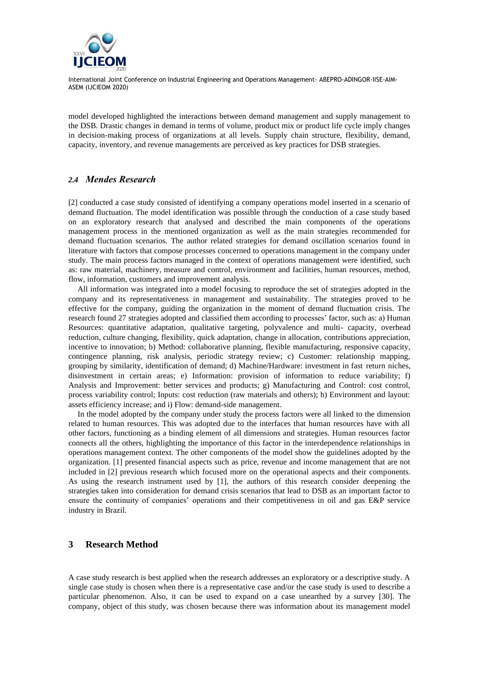

model developed highlighted the interactions between demand management and supply management to the DSB. Drastic changes in demand in terms of volume, product mix or product life cycle imply changes in decision-making process of organizations at all levels. Supply chain structure, flexibility, demand, capacity, inventory, and revenue managements are perceived as key practices for DSB strategies.

### *2.4 Mendes Research*

[2] conducted a case study consisted of identifying a company operations model inserted in a scenario of demand fluctuation. The model identification was possible through the conduction of a case study based on an exploratory research that analysed and described the main components of the operations management process in the mentioned organization as well as the main strategies recommended for demand fluctuation scenarios. The author related strategies for demand oscillation scenarios found in literature with factors that compose processes concerned to operations management in the company under study. The main process factors managed in the context of operations management were identified, such as: raw material, machinery, measure and control, environment and facilities, human resources, method, flow, information, customers and improvement analysis.

All information was integrated into a model focusing to reproduce the set of strategies adopted in the company and its representativeness in management and sustainability. The strategies proved to be effective for the company, guiding the organization in the moment of demand fluctuation crisis. The research found 27 strategies adopted and classified them according to processes' factor, such as: a) Human Resources: quantitative adaptation, qualitative targeting, polyvalence and multi- capacity, overhead reduction, culture changing, flexibility, quick adaptation, change in allocation, contributions appreciation, incentive to innovation; b) Method: collaborative planning, flexible manufacturing, responsive capacity, contingence planning, risk analysis, periodic strategy review; c) Customer: relationship mapping, grouping by similarity, identification of demand; d) Machine/Hardware: investment in fast return niches, disinvestment in certain areas; e) Information: provision of information to reduce variability; f) Analysis and Improvement: better services and products; g) Manufacturing and Control: cost control, process variability control; Inputs: cost reduction (raw materials and others); h) Environment and layout: assets efficiency increase; and i) Flow: demand-side management.

In the model adopted by the company under study the process factors were all linked to the dimension related to human resources. This was adopted due to the interfaces that human resources have with all other factors, functioning as a binding element of all dimensions and strategies. Human resources factor connects all the others, highlighting the importance of this factor in the interdependence relationships in operations management context. The other components of the model show the guidelines adopted by the organization. [1] presented financial aspects such as price, revenue and income management that are not included in [2] previous research which focused more on the operational aspects and their components. As using the research instrument used by [1], the authors of this research consider deepening the strategies taken into consideration for demand crisis scenarios that lead to DSB as an important factor to ensure the continuity of companies' operations and their competitiveness in oil and gas E&P service industry in Brazil.

### **3 Research Method**

A case study research is best applied when the research addresses an exploratory or a descriptive study. A single case study is chosen when there is a representative case and/or the case study is used to describe a particular phenomenon. Also, it can be used to expand on a case unearthed by a survey [30]. The company, object of this study, was chosen because there was information about its management model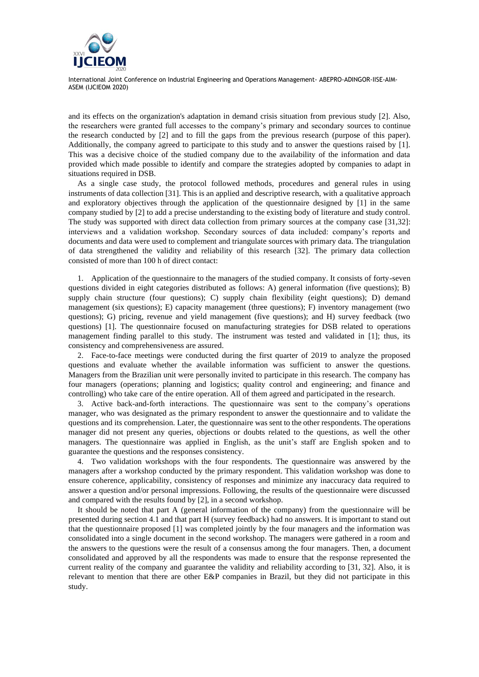

and its effects on the organization's adaptation in demand crisis situation from previous study [2]. Also, the researchers were granted full accesses to the company's primary and secondary sources to continue the research conducted by [2] and to fill the gaps from the previous research (purpose of this paper). Additionally, the company agreed to participate to this study and to answer the questions raised by [1]. This was a decisive choice of the studied company due to the availability of the information and data provided which made possible to identify and compare the strategies adopted by companies to adapt in situations required in DSB.

As a single case study, the protocol followed methods, procedures and general rules in using instruments of data collection [31]. This is an applied and descriptive research, with a qualitative approach and exploratory objectives through the application of the questionnaire designed by [1] in the same company studied by [2] to add a precise understanding to the existing body of literature and study control. The study was supported with direct data collection from primary sources at the company case [31,32]: interviews and a validation workshop. Secondary sources of data included: company's reports and documents and data were used to complement and triangulate sources with primary data. The triangulation of data strengthened the validity and reliability of this research [32]. The primary data collection consisted of more than 100 h of direct contact:

1. Application of the questionnaire to the managers of the studied company. It consists of forty-seven questions divided in eight categories distributed as follows: A) general information (five questions); B) supply chain structure (four questions); C) supply chain flexibility (eight questions); D) demand management (six questions); E) capacity management (three questions); F) inventory management (two questions); G) pricing, revenue and yield management (five questions); and H) survey feedback (two questions) [1]. The questionnaire focused on manufacturing strategies for DSB related to operations management finding parallel to this study. The instrument was tested and validated in [1]; thus, its consistency and comprehensiveness are assured.

2. Face-to-face meetings were conducted during the first quarter of 2019 to analyze the proposed questions and evaluate whether the available information was sufficient to answer the questions. Managers from the Brazilian unit were personally invited to participate in this research. The company has four managers (operations; planning and logistics; quality control and engineering; and finance and controlling) who take care of the entire operation. All of them agreed and participated in the research.

3. Active back-and-forth interactions. The questionnaire was sent to the company's operations manager, who was designated as the primary respondent to answer the questionnaire and to validate the questions and its comprehension. Later, the questionnaire was sent to the other respondents. The operations manager did not present any queries, objections or doubts related to the questions, as well the other managers. The questionnaire was applied in English, as the unit's staff are English spoken and to guarantee the questions and the responses consistency.

4. Two validation workshops with the four respondents. The questionnaire was answered by the managers after a workshop conducted by the primary respondent. This validation workshop was done to ensure coherence, applicability, consistency of responses and minimize any inaccuracy data required to answer a question and/or personal impressions. Following, the results of the questionnaire were discussed and compared with the results found by [2], in a second workshop.

It should be noted that part A (general information of the company) from the questionnaire will be presented during section 4.1 and that part H (survey feedback) had no answers. It is important to stand out that the questionnaire proposed [1] was completed jointly by the four managers and the information was consolidated into a single document in the second workshop. The managers were gathered in a room and the answers to the questions were the result of a consensus among the four managers. Then, a document consolidated and approved by all the respondents was made to ensure that the response represented the current reality of the company and guarantee the validity and reliability according to [31, 32]. Also, it is relevant to mention that there are other E&P companies in Brazil, but they did not participate in this study.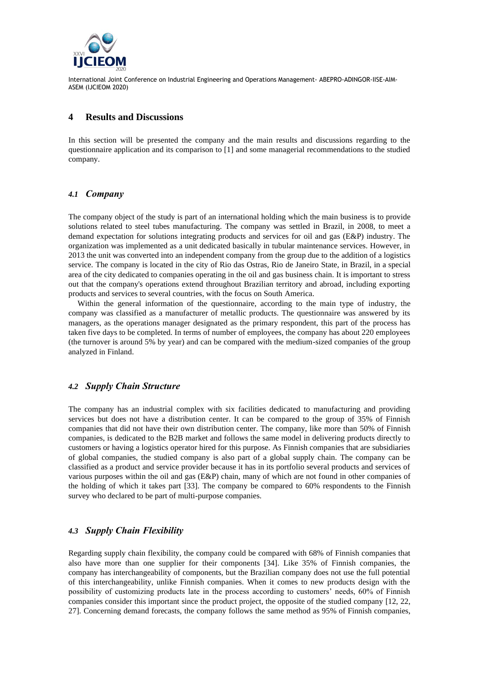

#### **4 Results and Discussions**

In this section will be presented the company and the main results and discussions regarding to the questionnaire application and its comparison to [1] and some managerial recommendations to the studied company.

### *4.1 Company*

The company object of the study is part of an international holding which the main business is to provide solutions related to steel tubes manufacturing. The company was settled in Brazil, in 2008, to meet a demand expectation for solutions integrating products and services for oil and gas (E&P) industry. The organization was implemented as a unit dedicated basically in tubular maintenance services. However, in 2013 the unit was converted into an independent company from the group due to the addition of a logistics service. The company is located in the city of Rio das Ostras, Rio de Janeiro State, in Brazil, in a special area of the city dedicated to companies operating in the oil and gas business chain. It is important to stress out that the company's operations extend throughout Brazilian territory and abroad, including exporting products and services to several countries, with the focus on South America.

Within the general information of the questionnaire, according to the main type of industry, the company was classified as a manufacturer of metallic products. The questionnaire was answered by its managers, as the operations manager designated as the primary respondent, this part of the process has taken five days to be completed. In terms of number of employees, the company has about 220 employees (the turnover is around 5% by year) and can be compared with the medium-sized companies of the group analyzed in Finland.

### *4.2 Supply Chain Structure*

The company has an industrial complex with six facilities dedicated to manufacturing and providing services but does not have a distribution center. It can be compared to the group of 35% of Finnish companies that did not have their own distribution center. The company, like more than 50% of Finnish companies, is dedicated to the B2B market and follows the same model in delivering products directly to customers or having a logistics operator hired for this purpose. As Finnish companies that are subsidiaries of global companies, the studied company is also part of a global supply chain. The company can be classified as a product and service provider because it has in its portfolio several products and services of various purposes within the oil and gas (E&P) chain, many of which are not found in other companies of the holding of which it takes part [33]. The company be compared to 60% respondents to the Finnish survey who declared to be part of multi-purpose companies.

# *4.3 Supply Chain Flexibility*

Regarding supply chain flexibility, the company could be compared with 68% of Finnish companies that also have more than one supplier for their components [34]. Like 35% of Finnish companies, the company has interchangeability of components, but the Brazilian company does not use the full potential of this interchangeability, unlike Finnish companies. When it comes to new products design with the possibility of customizing products late in the process according to customers' needs, 60% of Finnish companies consider this important since the product project, the opposite of the studied company [12, 22, 27]. Concerning demand forecasts, the company follows the same method as 95% of Finnish companies,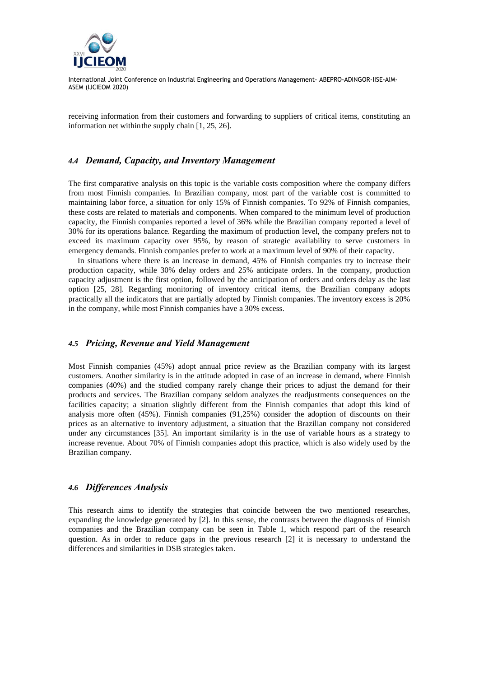

receiving information from their customers and forwarding to suppliers of critical items, constituting an information net withinthe supply chain [1, 25, 26].

#### *4.4 Demand, Capacity, and Inventory Management*

The first comparative analysis on this topic is the variable costs composition where the company differs from most Finnish companies. In Brazilian company, most part of the variable cost is committed to maintaining labor force, a situation for only 15% of Finnish companies. To 92% of Finnish companies, these costs are related to materials and components. When compared to the minimum level of production capacity, the Finnish companies reported a level of 36% while the Brazilian company reported a level of 30% for its operations balance. Regarding the maximum of production level, the company prefers not to exceed its maximum capacity over 95%, by reason of strategic availability to serve customers in emergency demands. Finnish companies prefer to work at a maximum level of 90% of their capacity.

In situations where there is an increase in demand, 45% of Finnish companies try to increase their production capacity, while 30% delay orders and 25% anticipate orders. In the company, production capacity adjustment is the first option, followed by the anticipation of orders and orders delay as the last option [25, 28]. Regarding monitoring of inventory critical items, the Brazilian company adopts practically all the indicators that are partially adopted by Finnish companies. The inventory excess is 20% in the company, while most Finnish companies have a 30% excess.

#### *4.5 Pricing, Revenue and Yield Management*

Most Finnish companies (45%) adopt annual price review as the Brazilian company with its largest customers. Another similarity is in the attitude adopted in case of an increase in demand, where Finnish companies (40%) and the studied company rarely change their prices to adjust the demand for their products and services. The Brazilian company seldom analyzes the readjustments consequences on the facilities capacity; a situation slightly different from the Finnish companies that adopt this kind of analysis more often (45%). Finnish companies (91,25%) consider the adoption of discounts on their prices as an alternative to inventory adjustment, a situation that the Brazilian company not considered under any circumstances [35]. An important similarity is in the use of variable hours as a strategy to increase revenue. About 70% of Finnish companies adopt this practice, which is also widely used by the Brazilian company.

#### *4.6 Differences Analysis*

This research aims to identify the strategies that coincide between the two mentioned researches, expanding the knowledge generated by [2]. In this sense, the contrasts between the diagnosis of Finnish companies and the Brazilian company can be seen in Table 1, which respond part of the research question. As in order to reduce gaps in the previous research [2] it is necessary to understand the differences and similarities in DSB strategies taken.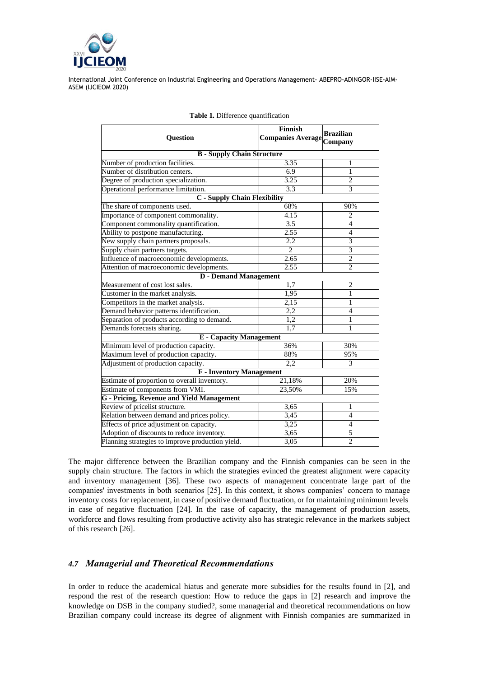

| <b>Question</b>                                                    | Finnish<br><b>Companies Average</b> | <b>Brazilian</b><br>Company |  |  |
|--------------------------------------------------------------------|-------------------------------------|-----------------------------|--|--|
| <b>B</b> - Supply Chain Structure                                  |                                     |                             |  |  |
| Number of production facilities.                                   | 3.35                                | 1                           |  |  |
| Number of distribution centers.                                    | 6.9                                 | 1                           |  |  |
| Degree of production specialization.                               | 3.25                                | $\overline{2}$              |  |  |
| Operational performance limitation.                                | 3.3                                 | 3                           |  |  |
| <b>C</b> - Supply Chain Flexibility                                |                                     |                             |  |  |
| The share of components used.                                      | 68%                                 | 90%                         |  |  |
| Importance of component commonality.                               | 4.15                                | $\overline{c}$              |  |  |
| Component commonality quantification.                              | 3.5                                 | $\overline{4}$              |  |  |
| Ability to postpone manufacturing.                                 | 2.55                                | $\overline{4}$              |  |  |
| New supply chain partners proposals.                               | 2.2                                 | 3                           |  |  |
| Supply chain partners targets.                                     | $\overline{2}$                      | $\overline{3}$              |  |  |
| Influence of macroeconomic developments.                           | 2.65                                | $\overline{c}$              |  |  |
| Attention of macroeconomic developments.                           | 2.55                                | $\overline{2}$              |  |  |
| <b>D</b> - Demand Management                                       |                                     |                             |  |  |
| Measurement of cost lost sales.                                    | $\overline{1,7}$                    | $\overline{2}$              |  |  |
| Customer in the market analysis.                                   | 1,95                                | 1                           |  |  |
| Competitors in the market analysis.                                | 2,15                                | 1                           |  |  |
| Demand behavior patterns identification.                           | 2,2                                 | $\overline{4}$              |  |  |
| Separation of products according to demand.                        | 1,2                                 | 1                           |  |  |
| Demands forecasts sharing.                                         | 1,7                                 | 1                           |  |  |
| <b>E</b> - Capacity Management                                     |                                     |                             |  |  |
| Minimum level of production capacity.                              | 36%                                 | 30%                         |  |  |
| Maximum level of production capacity.                              | 88%                                 | 95%                         |  |  |
| Adjustment of production capacity.                                 | 2,2                                 | 3                           |  |  |
| <b>F</b> - Inventory Management                                    |                                     |                             |  |  |
| Estimate of proportion to overall inventory.                       | 21,18%                              | 20%                         |  |  |
| Estimate of components from VMI.                                   | 23,50%                              | 15%                         |  |  |
| <b>G</b> - Pricing, Revenue and Yield Management                   |                                     |                             |  |  |
| Review of pricelist structure.                                     | 3,65                                | $\mathbf{1}$                |  |  |
| 3,45<br>Relation between demand and prices policy.                 |                                     | $\overline{4}$              |  |  |
| 3,25<br>Effects of price adjustment on capacity.<br>$\overline{4}$ |                                     |                             |  |  |
| Adoption of discounts to reduce inventory.                         | 3,65                                | 5                           |  |  |
| Planning strategies to improve production yield.                   | 3,05                                | $\overline{c}$              |  |  |

| <b>Table 1.</b> Difference quantification |  |
|-------------------------------------------|--|
|-------------------------------------------|--|

The major difference between the Brazilian company and the Finnish companies can be seen in the supply chain structure. The factors in which the strategies evinced the greatest alignment were capacity and inventory management [36]. These two aspects of management concentrate large part of the companies' investments in both scenarios [25]. In this context, it shows companies' concern to manage inventory costs for replacement, in case of positive demand fluctuation, or for maintaining minimum levels in case of negative fluctuation [24]. In the case of capacity, the management of production assets, workforce and flows resulting from productive activity also has strategic relevance in the markets subject of this research [26].

# *4.7 Managerial and Theoretical Recommendations*

In order to reduce the academical hiatus and generate more subsidies for the results found in [2], and respond the rest of the research question: How to reduce the gaps in [2] research and improve the knowledge on DSB in the company studied?, some managerial and theoretical recommendations on how Brazilian company could increase its degree of alignment with Finnish companies are summarized in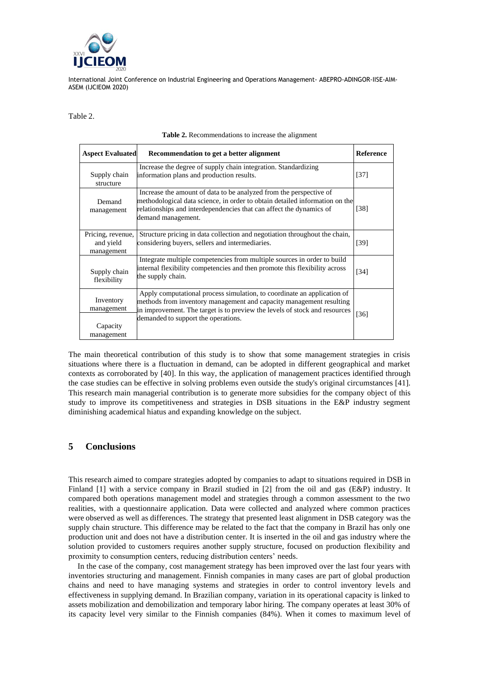

Table 2.

| <b>Aspect Evaluated</b>                           | Recommendation to get a better alignment                                                                                                                                                                                                                            | <b>Reference</b>   |
|---------------------------------------------------|---------------------------------------------------------------------------------------------------------------------------------------------------------------------------------------------------------------------------------------------------------------------|--------------------|
| Supply chain<br>structure                         | Increase the degree of supply chain integration. Standardizing<br>information plans and production results.                                                                                                                                                         | $[37]$             |
| Demand<br>management                              | Increase the amount of data to be analyzed from the perspective of<br>methodological data science, in order to obtain detailed information on the<br>relationships and interdependencies that can affect the dynamics of<br>demand management.                      | [38]               |
| Pricing, revenue,<br>and yield<br>management      | Structure pricing in data collection and negotiation throughout the chain,<br>considering buyers, sellers and intermediaries.                                                                                                                                       | [39]               |
| Supply chain<br>flexibility                       | Integrate multiple competencies from multiple sources in order to build<br>internal flexibility competencies and then promote this flexibility across<br>the supply chain.                                                                                          | $\lceil 34 \rceil$ |
| Inventory<br>management<br>Capacity<br>management | Apply computational process simulation, to coordinate an application of<br>methods from inventory management and capacity management resulting<br>in improvement. The target is to preview the levels of stock and resources<br>demanded to support the operations. | [36]               |

#### **Table 2.** Recommendations to increase the alignment

The main theoretical contribution of this study is to show that some management strategies in crisis situations where there is a fluctuation in demand, can be adopted in different geographical and market contexts as corroborated by [40]. In this way, the application of management practices identified through the case studies can be effective in solving problems even outside the study's original circumstances [41]. This research main managerial contribution is to generate more subsidies for the company object of this study to improve its competitiveness and strategies in DSB situations in the E&P industry segment diminishing academical hiatus and expanding knowledge on the subject.

### **5 Conclusions**

This research aimed to compare strategies adopted by companies to adapt to situations required in DSB in Finland [1] with a service company in Brazil studied in [2] from the oil and gas (E&P) industry. It compared both operations management model and strategies through a common assessment to the two realities, with a questionnaire application. Data were collected and analyzed where common practices were observed as well as differences. The strategy that presented least alignment in DSB category was the supply chain structure. This difference may be related to the fact that the company in Brazil has only one production unit and does not have a distribution center. It is inserted in the oil and gas industry where the solution provided to customers requires another supply structure, focused on production flexibility and proximity to consumption centers, reducing distribution centers' needs.

In the case of the company, cost management strategy has been improved over the last four years with inventories structuring and management. Finnish companies in many cases are part of global production chains and need to have managing systems and strategies in order to control inventory levels and effectiveness in supplying demand. In Brazilian company, variation in its operational capacity is linked to assets mobilization and demobilization and temporary labor hiring. The company operates at least 30% of its capacity level very similar to the Finnish companies (84%). When it comes to maximum level of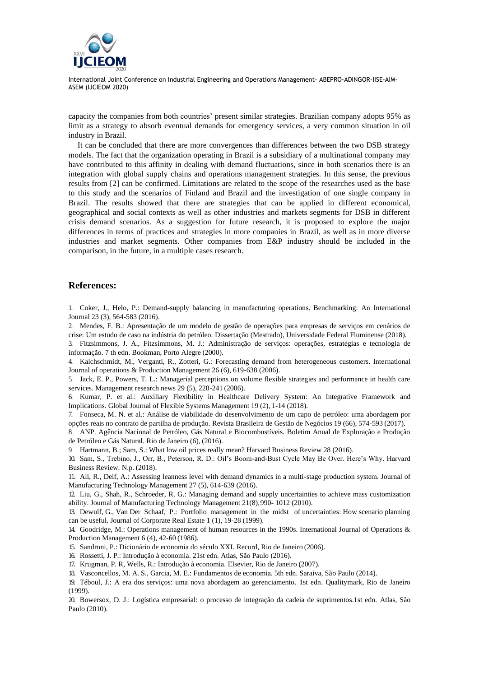

capacity the companies from both countries' present similar strategies. Brazilian company adopts 95% as limit as a strategy to absorb eventual demands for emergency services, a very common situation in oil industry in Brazil.

It can be concluded that there are more convergences than differences between the two DSB strategy models. The fact that the organization operating in Brazil is a subsidiary of a multinational company may have contributed to this affinity in dealing with demand fluctuations, since in both scenarios there is an integration with global supply chains and operations management strategies. In this sense, the previous results from [2] can be confirmed. Limitations are related to the scope of the researches used as the base to this study and the scenarios of Finland and Brazil and the investigation of one single company in Brazil. The results showed that there are strategies that can be applied in different economical, geographical and social contexts as well as other industries and markets segments for DSB in different crisis demand scenarios. As a suggestion for future research, it is proposed to explore the major differences in terms of practices and strategies in more companies in Brazil, as well as in more diverse industries and market segments. Other companies from E&P industry should be included in the comparison, in the future, in a multiple cases research.

### **References:**

1. Coker, J., Helo, P.: Demand-supply balancing in manufacturing operations. Benchmarking: An International Journal 23 (3), 564-583 (2016).

2. Mendes, F. B.: Apresentação de um modelo de gestão de operações para empresas de serviços em cenários de crise: Um estudo de caso na indústria do petróleo. Dissertação (Mestrado), Universidade Federal Fluminense (2018).

3. Fitzsimmons, J. A., Fitzsimmons, M. J.: Administração de serviços: operações, estratégias e tecnologia de informação. 7 th edn. Bookman, Porto Alegre (2000).

4. Kalchschmidt, M., Verganti, R., Zotteri, G.: Forecasting demand from heterogeneous customers. International Journal of operations & Production Management 26 (6), 619-638 (2006).

5. Jack, E. P., Powers, T. L.: Managerial perceptions on volume flexible strategies and performance in health care services. Management research news 29 (5), 228-241 (2006).

6. Kumar, P. et al.: Auxiliary Flexibility in Healthcare Delivery System: An Integrative Framework and Implications. Global Journal of Flexible Systems Management 19 (2), 1-14 (2018).

7. Fonseca, M. N. et al.: Análise de viabilidade do desenvolvimento de um capo de petróleo: uma abordagem por opções reais no contrato de partilha de produção. Revista Brasileira de Gestão de Negócios 19 (66), 574-593 (2017).

8. ANP. Agência Nacional de Petróleo, Gás Natural e Biocombustíveis. Boletim Anual de Exploração e Produção de Petróleo e Gás Natural. Rio de Janeiro (6), (2016).

9. Hartmann, B.; Sam, S.: What low oil prices really mean? Harvard Business Review 28 (2016).

10. Sam, S., Trebino, J., Orr, B., Peterson, R. D.: Oil's Boom-and-Bust Cycle May Be Over. Here's Why. Harvard Business Review. N.p. (2018).

11. Ali, R., Deif, A.: Assessing leanness level with demand dynamics in a multi-stage production system. Journal of Manufacturing Technology Management 27 (5), 614-639 (2016).

12. Liu, G., Shah, R., Schroeder, R. G.: Managing demand and supply uncertainties to achieve mass customization ability. Journal of Manufacturing Technology Management 21(8),990- 1012 (2010).

13. Dewulf, G., Van Der Schaaf, P.: Portfolio management in the midst of uncertainties: How scenario planning can be useful. Journal of Corporate Real Estate 1 (1), 19-28 (1999).

14. Goodridge, M.: Operations management of human resources in the 1990s. International Journal of Operations & Production Management 6 (4), 42-60 (1986).

15. Sandroni, P.: Dicionário de economia do século XXI. Record, Rio de Janeiro (2006).

16. Rossetti, J. P.: Introdução à economia. 21st edn. Atlas, São Paulo (2016).

17. Krugman, P. R, Wells, R.: Introdução à economia. Elsevier, Rio de Janeiro (2007).

18. Vasconcellos, M. A. S., Garcia, M. E.: Fundamentos de economia. 5th edn. Saraiva, São Paulo (2014).

19. Téboul, J.: A era dos serviços: uma nova abordagem ao gerenciamento. 1st edn. Qualitymark, Rio de Janeiro (1999).

20. Bowersox, D. J.: Logística empresarial: o processo de integração da cadeia de suprimentos.1st edn. Atlas, São Paulo (2010).